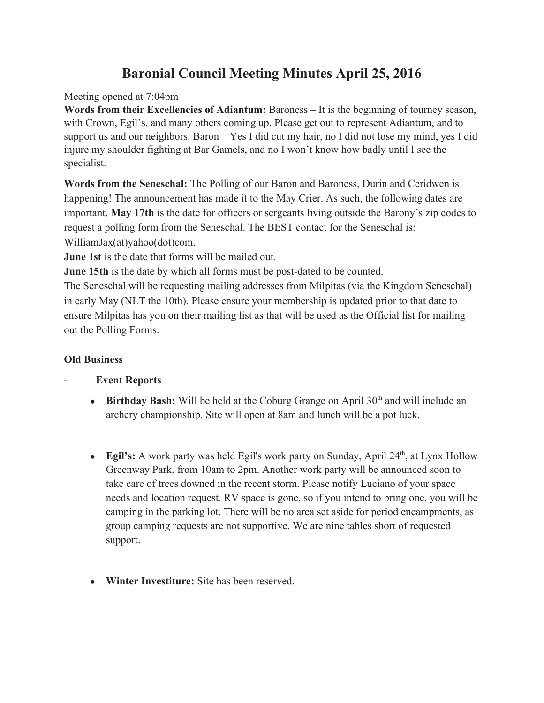# **Baronial Council Meeting Minutes April 25, 2016**

### Meeting opened at 7:04pm

**Words from their Excellencies of Adiantum:**Baroness – It is the beginning of tourney season, with Crown, Egil's, and many others coming up. Please get out to represent Adiantum, and to support us and our neighbors. Baron – Yes I did cut my hair, no I did not lose my mind, yes I did injure my shoulder fighting at Bar Gamels, and no I won't know how badly until I see the specialist.

**Words from the Seneschal:**The Polling of our Baron and Baroness, Durin and Ceridwen is happening! The announcement has made it to the May Crier. As such, the following dates are important. **May 17th**is the date for officers or sergeants living outside the Barony's zip codes to request a polling form from the Seneschal. The BEST contact for the Seneschal is: WilliamJax(at)yahoo(dot)com.

**June 1st**is the date that forms will be mailed out.

**June 15th** is the date by which all forms must be post-dated to be counted.

The Seneschal will be requesting mailing addresses from Milpitas (via the Kingdom Seneschal) in early May (NLT the 10th). Please ensure your membership is updated prior to that date to ensure Milpitas has you on their mailing list as that will be used as the Official list for mailing out the Polling Forms.

### **Old Business**

### **Event Reports**

- Birthday Bash: Will be held at the Coburg Grange on April 30<sup>th</sup> and will include an archery championship. Site will open at 8am and lunch will be a pot luck.
- Egil's: A work party was held Egil's work party on Sunday, April 24<sup>th</sup>, at Lynx Hollow Greenway Park, from 10am to 2pm. Another work party will be announced soon to take care of trees downed in the recent storm. Please notify Luciano of your space needs and location request. RV space is gone, so if you intend to bring one, you will be camping in the parking lot. There will be no area set aside for period encampments, as group camping requests are not supportive. We are nine tables short of requested support.
- **Winter Investiture:** Site has been reserved.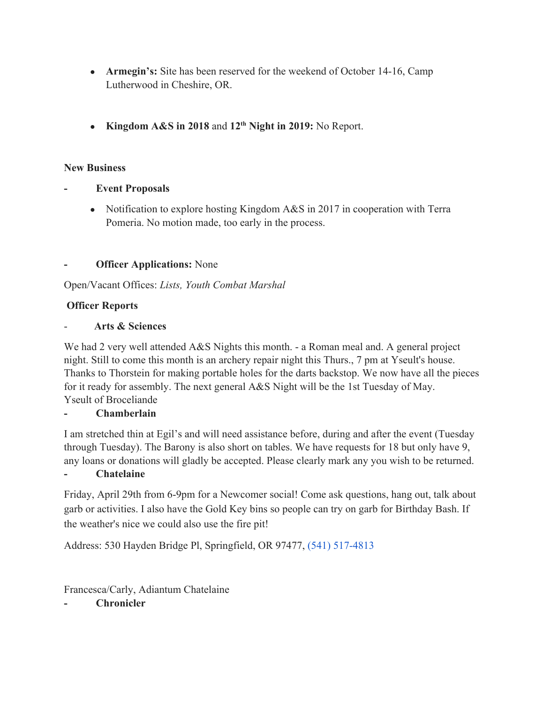- **Armegin's:** Site has been reserved for the weekend of October 14-16, Camp Lutherwood in Cheshire, OR.
- **Kingdom A&S in 2018**and **12thNight in 2019:**No Report.

#### **New Business**

- **Event Proposals**
	- Notification to explore hosting Kingdom A&S in 2017 in cooperation with Terra Pomeria. No motion made, too early in the process.

### **Officer Applications:** None

Open/Vacant Offices: *Lists, Youth Combat Marshal*

### **Officer Reports**

#### **Arts & Sciences**

We had 2 very well attended A&S Nights this month. - a Roman meal and. A general project night. Still to come this month is an archery repair night this Thurs., 7 pm at Yseult's house. Thanks to Thorstein for making portable holes for the darts backstop. We now have all the pieces for it ready for assembly. The next general A&S Night will be the 1st Tuesday of May. Yseult of Broceliande

#### **Chamberlain**

I am stretched thin at Egil's and will need assistance before, during and after the event (Tuesday through Tuesday). The Barony is also short on tables. We have requests for 18 but only have 9, any loans or donations will gladly be accepted. Please clearly mark any you wish to be returned.

#### **Chatelaine**

Friday, April 29th from 6-9pm for a Newcomer social! Come ask questions, hang out, talk about garb or activities. I also have the Gold Key bins so people can try on garb for Birthday Bash. If the weather's nice we could also use the fire pit!

Address: 530 Hayden Bridge Pl, Springfield, OR 97477, (541) 517-4813

Francesca/Carly, Adiantum Chatelaine

**Chronicler**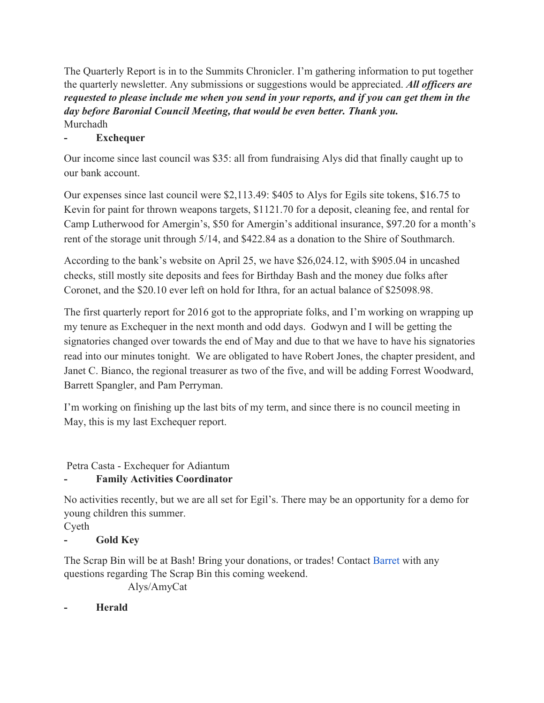The Quarterly Report is in to the Summits Chronicler. I'm gathering information to put together the quarterly newsletter. Any submissions or suggestions would be appreciated. *All officers are* requested to please include me when you send in your reports, and if you can get them in the *day before Baronial Council Meeting, that would be even better. Thank you.* Murchadh

### **Exchequer**

Our income since last council was \$35: all from fundraising Alys did that finally caught up to our bank account.

Our expenses since last council were \$2,113.49: \$405 to Alys for Egils site tokens, \$16.75 to Kevin for paint for thrown weapons targets, \$1121.70 for a deposit, cleaning fee, and rental for Camp Lutherwood for Amergin's, \$50 for Amergin's additional insurance, \$97.20 for a month's rent of the storage unit through 5/14, and \$422.84 as a donation to the Shire of Southmarch.

According to the bank's website on April 25, we have \$26,024.12, with \$905.04 in uncashed checks, still mostly site deposits and fees for Birthday Bash and the money due folks after Coronet, and the \$20.10 ever left on hold for Ithra, for an actual balance of \$25098.98.

The first quarterly report for 2016 got to the appropriate folks, and I'm working on wrapping up my tenure as Exchequer in the next month and odd days. Godwyn and I will be getting the signatories changed over towards the end of May and due to that we have to have his signatories read into our minutes tonight. We are obligated to have Robert Jones, the chapter president, and Janet C. Bianco, the regional treasurer as two of the five, and will be adding Forrest Woodward, Barrett Spangler, and Pam Perryman.

I'm working on finishing up the last bits of my term, and since there is no council meeting in May, this is my last Exchequer report.

Petra Casta - Exchequer for Adiantum

# **Family Activities Coordinator**

No activities recently, but we are all set for Egil's. There may be an opportunity for a demo for young children this summer.

Cyeth

## **Gold Key**

The Scrap Bin will be at Bash! Bring your donations, or trades! Contact [Barret](https://www.facebook.com/barret.spangler) with any questions regarding The Scrap Bin this coming weekend.

Alys/AmyCat

**Herald**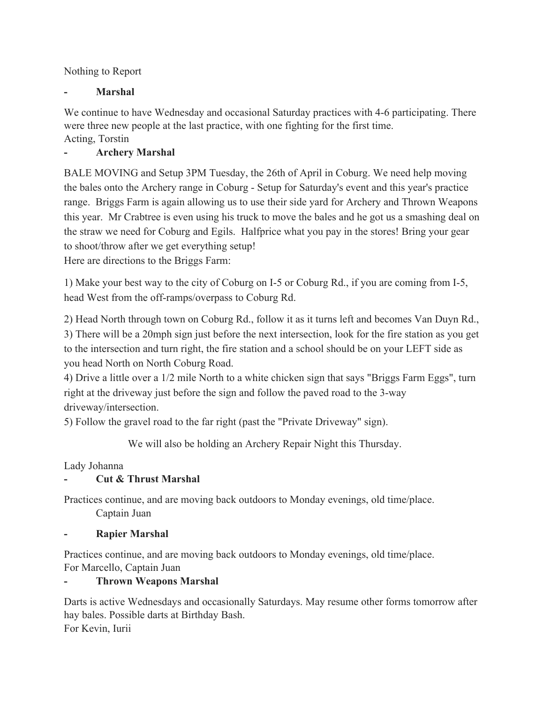Nothing to Report

### **Marshal**

We continue to have Wednesday and occasional Saturday practices with 4-6 participating. There were three new people at the last practice, with one fighting for the first time. Acting, Torstin

### **Archery Marshal**

BALE MOVING and Setup 3PM Tuesday, the 26th of April in Coburg. We need help moving the bales onto the Archery range in Coburg - Setup for Saturday's event and this year's practice range. Briggs Farm is again allowing us to use their side yard for Archery and Thrown Weapons this year. Mr Crabtree is even using his truck to move the bales and he got us a smashing deal on the straw we need for Coburg and Egils. Halfprice what you pay in the stores! Bring your gear to shoot/throw after we get everything setup!

Here are directions to the Briggs Farm:

1) Make your best way to the city of Coburg on I-5 or Coburg Rd., if you are coming from I-5, head West from the off-ramps/overpass to Coburg Rd.

2) Head North through town on Coburg Rd., follow it as it turns left and becomes Van Duyn Rd., 3) There will be a 20mph sign just before the next intersection, look for the fire station as you get to the intersection and turn right, the fire station and a school should be on your LEFT side as you head North on North Coburg Road.

4) Drive a little over a 1/2 mile North to a white chicken sign that says "Briggs Farm Eggs", turn right at the driveway just before the sign and follow the paved road to the 3-way driveway/intersection.

5) Follow the gravel road to the far right (past the "Private Driveway" sign).

We will also be holding an Archery Repair Night this Thursday.

Lady Johanna

### **Cut & Thrust Marshal**

Practices continue, and are moving back outdoors to Monday evenings, old time/place. Captain Juan

### **Rapier Marshal**

Practices continue, and are moving back outdoors to Monday evenings, old time/place. For Marcello, Captain Juan

### **Thrown Weapons Marshal**

Darts is active Wednesdays and occasionally Saturdays. May resume other forms tomorrow after hay bales. Possible darts at Birthday Bash. For Kevin, Iurii